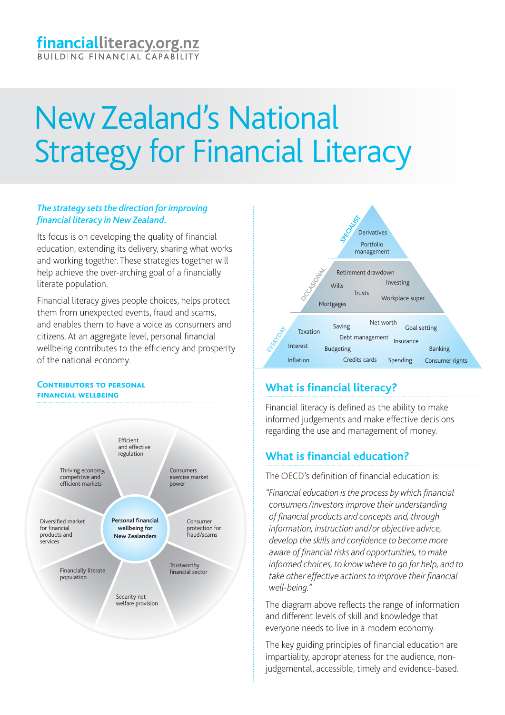# New Zealand's National Strategy for Financial Literacy

## *The strategy sets the direction for improving financial literacy in New Zealand.*

Its focus is on developing the quality of financial education, extending its delivery, sharing what works and working together. These strategies together will help achieve the over-arching goal of a financially literate population.

Financial literacy gives people choices, helps protect them from unexpected events, fraud and scams, and enables them to have a voice as consumers and citizens. At an aggregate level, personal financial wellbeing contributes to the efficiency and prosperity of the national economy.

#### **CONTRIBUTORS TO PERSONAL financial wellbeing**





# **What is financial literacy?**

Financial literacy is defined as the ability to make informed judgements and make effective decisions regarding the use and management of money.

# **What is financial education?**

The OECD's definition of financial education is:

*"Financial education is the process by which financial consumers/investors improve their understanding of financial products and concepts and, through information, instruction and/or objective advice, develop the skills and confidence to become more aware of financial risks and opportunities, to make informed choices, to know where to go for help, and to take other effective actions to improve their financial well-being."*

The diagram above reflects the range of information and different levels of skill and knowledge that everyone needs to live in a modern economy.

The key guiding principles of financial education are impartiality, appropriateness for the audience, nonjudgemental, accessible, timely and evidence-based.